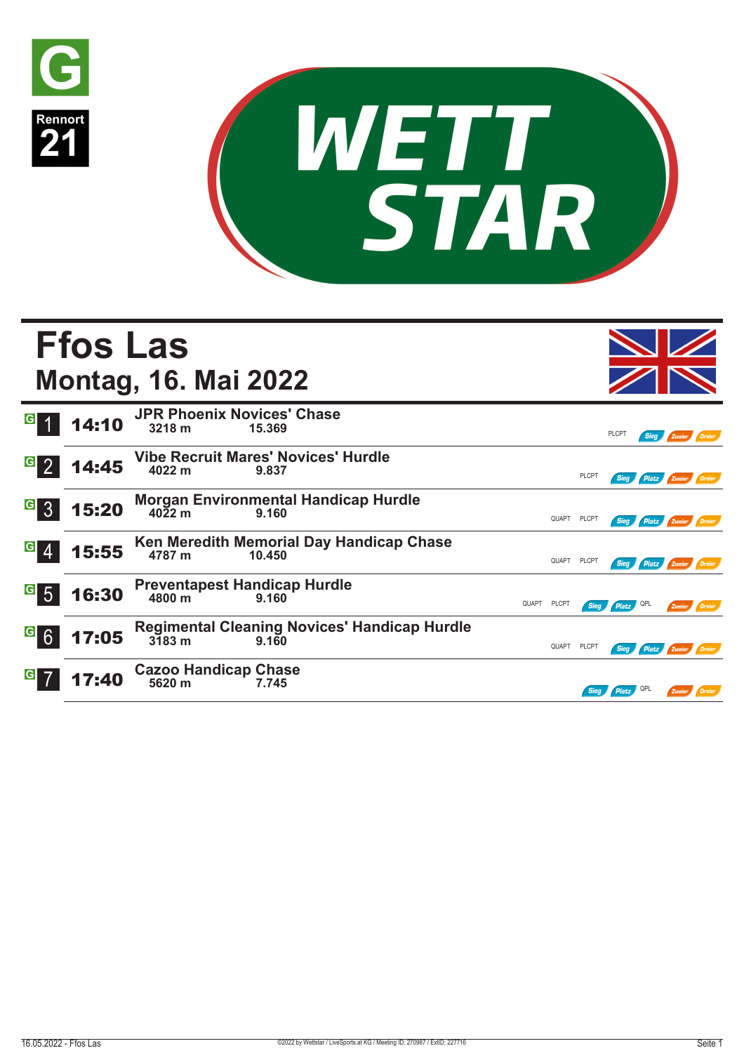



|                                   | <b>Ffos Las</b> | <b>Montag, 16. Mai 2022</b>                          |        |                                                     |       |              |              |              |             |                          |        |
|-----------------------------------|-----------------|------------------------------------------------------|--------|-----------------------------------------------------|-------|--------------|--------------|--------------|-------------|--------------------------|--------|
| G                                 | 14:10           | <b>JPR Phoenix Novices' Chase</b><br>3218 m          | 15.369 |                                                     |       |              |              | <b>PLCPT</b> | <b>Sieg</b> | Zweier <b>Dreier</b>     |        |
| $\overline{G}$<br>$\overline{2}$  | 14:45           | <b>Vibe Recruit Mares' Novices' Hurdle</b><br>4022 m | 9.837  |                                                     |       |              | PLCPT        | <b>Sieg</b>  |             | Platz Zweier             | Dreier |
| $\overline{G}$<br>$\overline{3}$  | 15:20           | $40\frac{2}{2}$ m                                    | 9.160  | <b>Morgan Environmental Handicap Hurdle</b>         |       | QUAPT        | <b>PLCPT</b> | <b>Sieg</b>  |             | Platz Zweier Dreier      |        |
| $\vert G \vert$                   | 15:55           | 4787 m                                               | 10.450 | Ken Meredith Memorial Day Handicap Chase            |       | QUAPT PLCPT  |              |              |             | Sieg Platz Zweier Dreier |        |
| $\vert G \vert$<br>$\overline{5}$ | 16:30           | <b>Preventapest Handicap Hurdle</b><br>4800 m        | 9.160  |                                                     | QUAPT | <b>PLCPT</b> | <b>Sieg</b>  | Platz OPL    |             | Zweier Dreier            |        |
| $G$ 6                             | 17:05           | $3\overline{1}83$ m                                  | 9.160  | <b>Regimental Cleaning Novices' Handicap Hurdle</b> |       | QUAPT PLCPT  |              | Sieg         |             | Platz Zweier Dreier      |        |
|                                   | 17:40           | <b>Cazoo Handicap Chase</b><br>5620 m                | 7.745  |                                                     |       |              |              | <b>Platz</b> |             | Zweier                   | Dreier |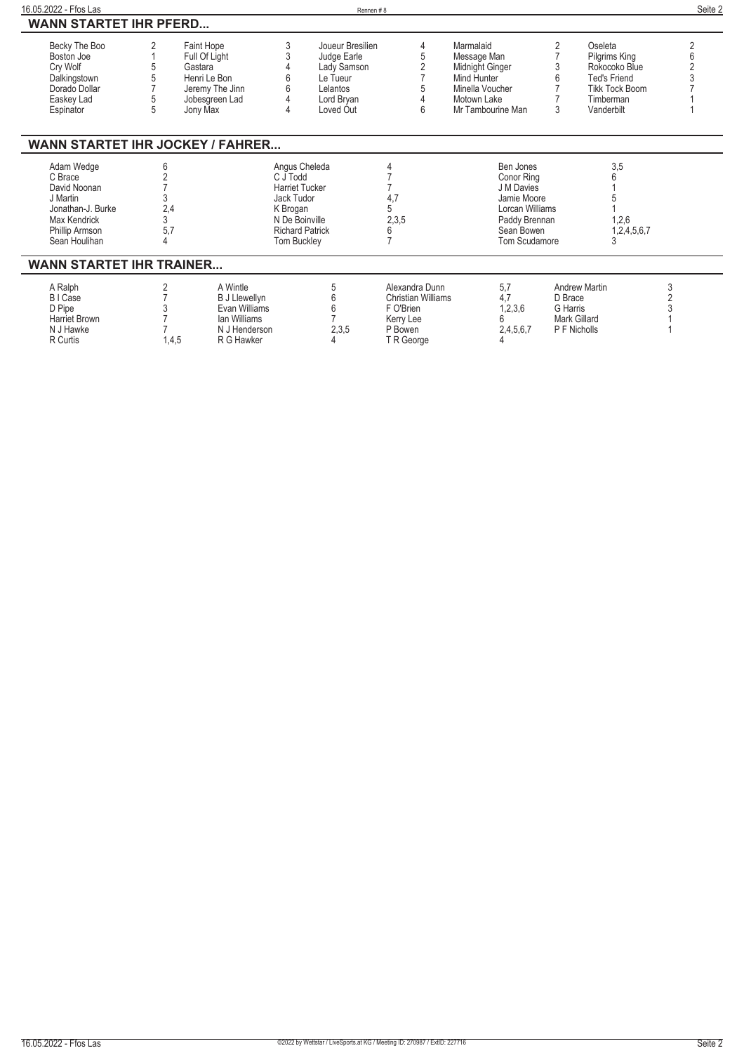| 16.05.2022 - Ffos Las                                                                                                     |                 |                                                                                                         |                                                                                                                                                | Rennen#8                                                                                          |                                                                                                |                                                                                                                                |                                                                                    |                                                                                                                      | Seite 2 |
|---------------------------------------------------------------------------------------------------------------------------|-----------------|---------------------------------------------------------------------------------------------------------|------------------------------------------------------------------------------------------------------------------------------------------------|---------------------------------------------------------------------------------------------------|------------------------------------------------------------------------------------------------|--------------------------------------------------------------------------------------------------------------------------------|------------------------------------------------------------------------------------|----------------------------------------------------------------------------------------------------------------------|---------|
| <b>WANN STARTET IHR PFERD</b>                                                                                             |                 |                                                                                                         |                                                                                                                                                |                                                                                                   |                                                                                                |                                                                                                                                |                                                                                    |                                                                                                                      |         |
| Becky The Boo<br>Boston Joe<br>Cry Wolf<br>Dalkingstown<br>Dorado Dollar<br>Easkey Lad<br>Espinator                       |                 | Faint Hope<br>Full Of Light<br>Gastara<br>Henri Le Bon<br>Jeremy The Jinn<br>Jobesgreen Lad<br>Jony Max | 3<br>4                                                                                                                                         | Joueur Bresilien<br>Judge Earle<br>Lady Samson<br>Le Tueur<br>Lelantos<br>Lord Bryan<br>Loved Out | 4<br>5<br>6                                                                                    | Marmalaid<br>Message Man<br>Midnight Ginger<br>Mind Hunter<br>Minella Voucher<br>Motown Lake<br>Mr Tambourine Man              | 2<br>3                                                                             | Oseleta<br>Pilgrims King<br>Rokocoko Blue<br><b>Ted's Friend</b><br><b>Tikk Tock Boom</b><br>Timberman<br>Vanderbilt |         |
| <b>WANN STARTET IHR JOCKEY / FAHRER</b>                                                                                   |                 |                                                                                                         |                                                                                                                                                |                                                                                                   |                                                                                                |                                                                                                                                |                                                                                    |                                                                                                                      |         |
| Adam Wedge<br>C Brace<br>David Noonan<br>J Martin<br>Jonathan-J. Burke<br>Max Kendrick<br>Phillip Armson<br>Sean Houlihan | 2,4<br>3<br>5,7 |                                                                                                         | Angus Cheleda<br>C J Todd<br><b>Harriet Tucker</b><br>Jack Tudor<br>K Brogan<br>N De Boinville<br><b>Richard Patrick</b><br><b>Tom Buckley</b> |                                                                                                   | 4,7<br>5<br>2,3,5<br>6                                                                         | Ben Jones<br><b>Conor Ring</b><br>J M Davies<br>Jamie Moore<br>Lorcan Williams<br>Paddy Brennan<br>Sean Bowen<br>Tom Scudamore |                                                                                    | 3,5<br>1,2,6<br>1,2,4,5,6,7                                                                                          |         |
| <b>WANN STARTET IHR TRAINER</b>                                                                                           |                 |                                                                                                         |                                                                                                                                                |                                                                                                   |                                                                                                |                                                                                                                                |                                                                                    |                                                                                                                      |         |
| A Ralph<br>B I Case<br>D Pipe<br><b>Harriet Brown</b><br>N J Hawke<br>R Curtis                                            | 2<br>1.4,5      | A Wintle<br><b>B J Llewellyn</b><br>Evan Williams<br>lan Williams<br>N J Henderson<br>R G Hawker        |                                                                                                                                                | 5<br>6<br>6<br>2,3,5                                                                              | Alexandra Dunn<br><b>Christian Williams</b><br>F O'Brien<br>Kerry Lee<br>P Bowen<br>T R George | 5,7<br>4.7<br>1,2,3,6<br>2,4,5,6,7                                                                                             | <b>Andrew Martin</b><br>D Brace<br>G Harris<br><b>Mark Gillard</b><br>P F Nicholls |                                                                                                                      | 3       |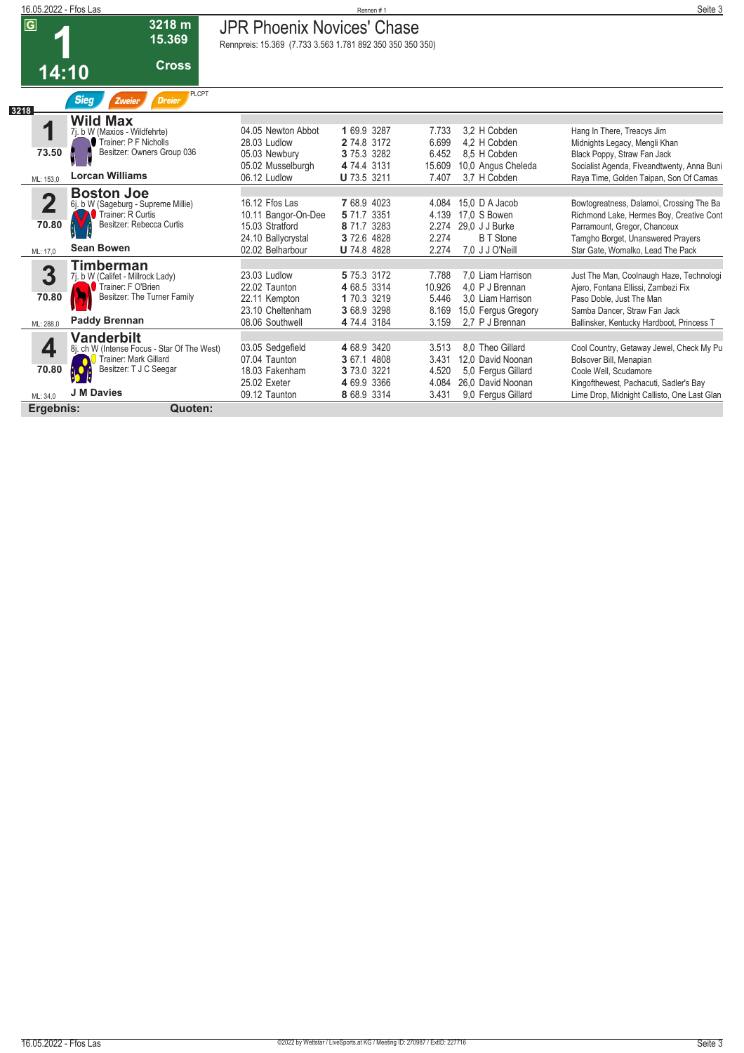| 16.05.2022 - Ffos Las                        |                                                                                                                                          |                                                                                                    | Rennen#1                                                                       |                                            |                                                                                                        | Seite 3                                                                                                                                                                                        |
|----------------------------------------------|------------------------------------------------------------------------------------------------------------------------------------------|----------------------------------------------------------------------------------------------------|--------------------------------------------------------------------------------|--------------------------------------------|--------------------------------------------------------------------------------------------------------|------------------------------------------------------------------------------------------------------------------------------------------------------------------------------------------------|
| $\overline{G}$                               | 3218 m<br>15.369                                                                                                                         | <b>JPR Phoenix Novices' Chase</b><br>Rennpreis: 15.369 (7.733 3.563 1.781 892 350 350 350 350)     |                                                                                |                                            |                                                                                                        |                                                                                                                                                                                                |
|                                              | <b>Cross</b><br>14:10                                                                                                                    |                                                                                                    |                                                                                |                                            |                                                                                                        |                                                                                                                                                                                                |
| 3218                                         | <b>PLCPT</b><br><b>Sieg</b><br><b>Dreier</b><br>Zweier                                                                                   |                                                                                                    |                                                                                |                                            |                                                                                                        |                                                                                                                                                                                                |
| 1<br>73.50                                   | <b>Wild Max</b><br>7j. b W (Maxios - Wildfehrte)<br>Trainer: P F Nicholls<br>Besitzer: Owners Group 036<br><b>Lorcan Williams</b>        | 04.05 Newton Abbot<br>28.03 Ludlow<br>05.03 Newbury<br>05.02 Musselburgh                           | 1 69.9 3287<br>2 74.8 3172<br>3 75.3 3282<br>4 74.4 3131                       | 7.733<br>6.699<br>6.452<br>15.609          | 3.2 H Cobden<br>4,2 H Cobden<br>8.5 H Cobden<br>10,0 Angus Cheleda                                     | Hang In There, Treacys Jim<br>Midnights Legacy, Mengli Khan<br>Black Poppy, Straw Fan Jack<br>Socialist Agenda, Fiveandtwenty, Anna Buni                                                       |
| ML: 153,0                                    |                                                                                                                                          | 06.12 Ludlow                                                                                       | <b>U</b> 73.5 3211                                                             | 7.407                                      | 3.7 H Cobden                                                                                           | Raya Time, Golden Taipan, Son Of Camas                                                                                                                                                         |
| $\overline{\mathbf{2}}$<br>70.80<br>ML: 17,0 | <b>Boston Joe</b><br>6j. b W (Sageburg - Supreme Millie)<br>Trainer: R Curtis<br>Besitzer: Rebecca Curtis<br><b>Sean Bowen</b>           | 16.12 Ffos Las<br>10.11 Bangor-On-Dee<br>15.03 Stratford<br>24.10 Ballycrystal<br>02.02 Belharbour | 7 68.9 4023<br>5 71.7 3351<br>8 71.7 3283<br>3 72.6 4828<br><b>U</b> 74.8 4828 | 4.084<br>4.139<br>2.274<br>2.274<br>2.274  | 15.0 D A Jacob<br>17,0 S Bowen<br>29.0 J J Burke<br><b>B</b> T Stone<br>7,0 J J O'Neill                | Bowtogreatness, Dalamoi, Crossing The Ba<br>Richmond Lake, Hermes Boy, Creative Cont<br>Parramount, Gregor, Chanceux<br>Tamgho Borget, Unanswered Prayers<br>Star Gate, Womalko, Lead The Pack |
| 3<br>70.80<br>ML: 288,0                      | <b>Timberman</b><br>7j. b W (Califet - Millrock Lady)<br>Trainer: F O'Brien<br>Besitzer: The Turner Family<br><b>Paddy Brennan</b>       | 23.03 Ludlow<br>22.02 Taunton<br>22.11 Kempton<br>23.10 Cheltenham<br>08.06 Southwell              | 5 75.3 3172<br>4 68.5 3314<br>1 70.3 3219<br>3 68.9 3298<br>4 74.4 3184        | 7.788<br>10.926<br>5.446<br>8.169<br>3.159 | 7.0 Liam Harrison<br>4,0 P J Brennan<br>3.0 Liam Harrison<br>15,0 Fergus Gregory<br>2.7 P J Brennan    | Just The Man, Coolnaugh Haze, Technologi<br>Ajero, Fontana Ellissi, Zambezi Fix<br>Paso Doble, Just The Man<br>Samba Dancer, Straw Fan Jack<br>Ballinsker, Kentucky Hardboot, Princess T       |
| 4<br>70.80<br>ML: 34.0                       | <b>Vanderbilt</b><br>8j. ch W (Intense Focus - Star Of The West)<br>Trainer: Mark Gillard<br>Besitzer: T J C Seegar<br><b>J M Davies</b> | 03.05 Sedgefield<br>07.04 Taunton<br>18.03 Fakenham<br>25.02 Exeter<br>09.12 Taunton               | 4 68.9 3420<br>3 67.1 4808<br>3 73.0 3221<br>4 69.9 3366<br>8 68.9 3314        | 3.513<br>3.431<br>4.520<br>4.084<br>3.431  | 8.0 Theo Gillard<br>12.0 David Noonan<br>5.0 Fergus Gillard<br>26,0 David Noonan<br>9,0 Fergus Gillard | Cool Country, Getaway Jewel, Check My Pu<br>Bolsover Bill, Menapian<br>Coole Well, Scudamore<br>Kingofthewest, Pachacuti, Sadler's Bay<br>Lime Drop, Midnight Callisto, One Last Glan          |
| Ergebnis:                                    | Quoten:                                                                                                                                  |                                                                                                    |                                                                                |                                            |                                                                                                        |                                                                                                                                                                                                |
|                                              |                                                                                                                                          |                                                                                                    |                                                                                |                                            |                                                                                                        |                                                                                                                                                                                                |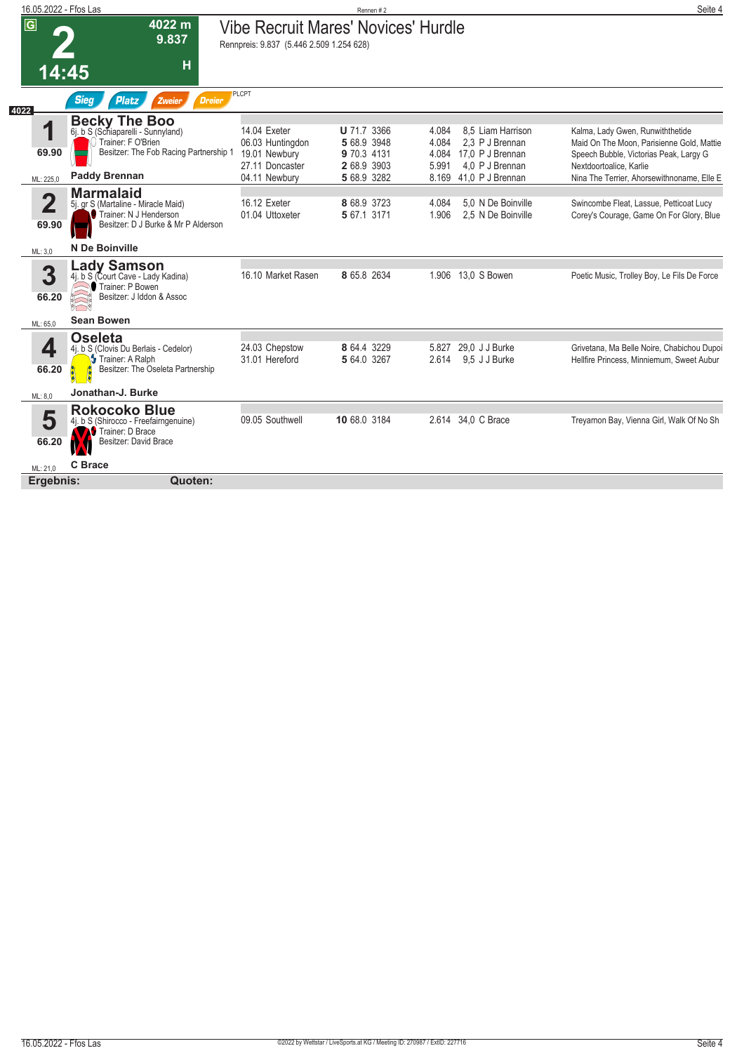| 16.05.2022 - Ffos Las   |                                                                                                                          |                                                                                        | Rennen#2                                  |                |                                                                     | Seite 4                                                                                                         |
|-------------------------|--------------------------------------------------------------------------------------------------------------------------|----------------------------------------------------------------------------------------|-------------------------------------------|----------------|---------------------------------------------------------------------|-----------------------------------------------------------------------------------------------------------------|
| $\overline{\mathbf{G}}$ | 4022 m<br>9.837                                                                                                          | <b>Vibe Recruit Mares' Novices' Hurdle</b><br>Rennpreis: 9.837 (5.446 2.509 1.254 628) |                                           |                |                                                                     |                                                                                                                 |
| 14:45                   | Н                                                                                                                        | <b>PLCPT</b>                                                                           |                                           |                |                                                                     |                                                                                                                 |
| 4022                    | <b>Sieg</b><br><b>Platz</b><br><b>Dreier</b><br>Zweier                                                                   |                                                                                        |                                           |                |                                                                     |                                                                                                                 |
| 1                       | <b>Becky The Boo</b><br>6j. b S (Schiaparelli - Sunnyland)<br>Trainer: F O'Brien                                         | 14.04 Exeter<br>06.03 Huntingdon                                                       | U 71.7 3366<br>5 68.9 3948                | 4.084<br>4.084 | 8.5 Liam Harrison<br>2,3 P J Brennan                                | Kalma, Lady Gwen, Runwiththetide<br>Maid On The Moon, Parisienne Gold, Mattie                                   |
| 69.90<br>ML: 225,0      | Besitzer: The Fob Racing Partnership 1<br><b>Paddy Brennan</b>                                                           | 19.01 Newbury<br>27.11 Doncaster<br>04.11 Newbury                                      | 9 70.3 4131<br>2 68.9 3903<br>5 68.9 3282 | 5.991          | 4.084 17.0 P J Brennan<br>4,0 P J Brennan<br>8.169 41.0 P J Brennan | Speech Bubble, Victorias Peak, Largy G<br>Nextdoortoalice, Karlie<br>Nina The Terrier, Ahorsewithnoname, Elle E |
| $\mathbf 2$<br>69.90    | <b>Marmalaid</b><br>5j. gr S (Martaline - Miracle Maid)<br>Trainer: N J Henderson<br>Besitzer: D J Burke & Mr P Alderson | 16.12 Exeter<br>01.04 Uttoxeter                                                        | 8 68.9 3723<br>5 67.1 3171                | 4.084<br>1.906 | 5.0 N De Boinville<br>2.5 N De Boinville                            | Swincombe Fleat, Lassue, Petticoat Lucy<br>Corey's Courage, Game On For Glory, Blue                             |
| ML: 3,0                 | N De Boinville                                                                                                           |                                                                                        |                                           |                |                                                                     |                                                                                                                 |
| 3<br>66.20              | <b>Lady Samson</b><br>4j. b S (Court Cave - Lady Kadina)<br>Trainer: P Bowen<br>Besitzer: J Iddon & Assoc                | 16.10 Market Rasen                                                                     | 8 65.8 2634                               |                | 1.906 13.0 S Bowen                                                  | Poetic Music, Trolley Boy, Le Fils De Force                                                                     |
| ML: 65.0                | Sean Bowen                                                                                                               |                                                                                        |                                           |                |                                                                     |                                                                                                                 |
| 4<br>66.20              | <b>Oseleta</b><br>4j. b S (Clovis Du Berlais - Cedelor)<br>Trainer: A Ralph<br>Besitzer: The Oseleta Partnership         | 24.03 Chepstow<br>31.01 Hereford                                                       | 8 64.4 3229<br>5 64.0 3267                | 5.827<br>2.614 | 29,0 J J Burke<br>9.5 J J Burke                                     | Grivetana, Ma Belle Noire, Chabichou Dupoi<br>Hellfire Princess, Minniemum, Sweet Aubur                         |
| ML: 8.0                 | Jonathan-J. Burke                                                                                                        |                                                                                        |                                           |                |                                                                     |                                                                                                                 |
| 5<br>66.20              | <b>Rokocoko Blue</b><br>4j. b S (Shirocco - Freefairngenuine)<br>Trainer: D Brace<br>Besitzer: David Brace               | 09.05 Southwell                                                                        | 10 68.0 3184                              |                | 2.614 34,0 C Brace                                                  | Treyarnon Bay, Vienna Girl, Walk Of No Sh                                                                       |
| ML: 21.0                | C Brace                                                                                                                  |                                                                                        |                                           |                |                                                                     |                                                                                                                 |
| Ergebnis:               | Quoten:                                                                                                                  |                                                                                        |                                           |                |                                                                     |                                                                                                                 |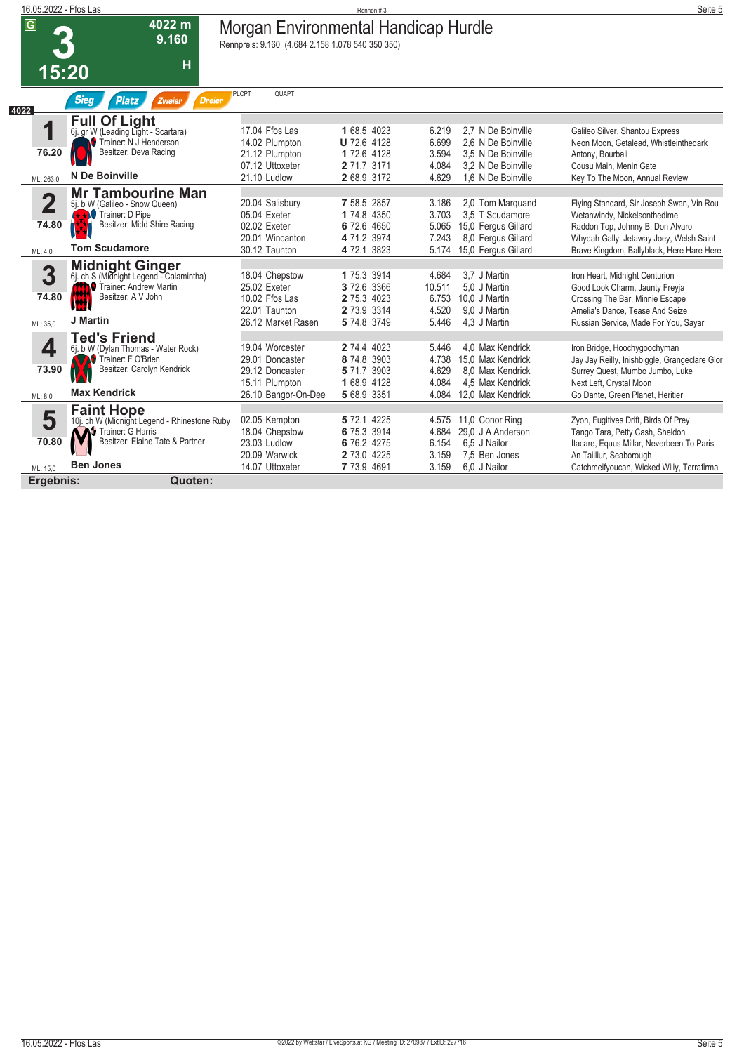| 16.05.2022 - Ffos Las   |                                                            |                                                                                          | Rennen #3                  |                |                                          | Seite 5                                                                          |
|-------------------------|------------------------------------------------------------|------------------------------------------------------------------------------------------|----------------------------|----------------|------------------------------------------|----------------------------------------------------------------------------------|
| $\overline{G}$          | 4022 m<br>9.160                                            | Morgan Environmental Handicap Hurdle<br>Rennpreis: 9.160 (4.684 2.158 1.078 540 350 350) |                            |                |                                          |                                                                                  |
| 15:20                   | H                                                          |                                                                                          |                            |                |                                          |                                                                                  |
| 4022                    | <b>Sieg</b><br><b>Platz</b><br><b>Dreier</b><br>Zweier     | <b>PLCPT</b><br>QUAPT                                                                    |                            |                |                                          |                                                                                  |
|                         | <b>Full Of Light</b>                                       |                                                                                          |                            |                |                                          |                                                                                  |
| 1                       | 6j. gr W (Leading Light - Scartara)                        | 17.04 Ffos Las                                                                           | 1 68.5 4023                | 6.219          | 2.7 N De Boinville                       | Galileo Silver, Shantou Express                                                  |
|                         | Trainer: N J Henderson<br>Besitzer: Deva Racing            | 14.02 Plumpton                                                                           | U 72.6 4128                | 6.699          | 2.6 N De Boinville                       | Neon Moon, Getalead, Whistleinthedark                                            |
| 76.20                   |                                                            | 21.12 Plumpton                                                                           | 1 72.6 4128                | 3.594          | 3.5 N De Boinville                       | Antony, Bourbali                                                                 |
|                         | N De Boinville                                             | 07.12 Uttoxeter<br>21.10 Ludlow                                                          | 2 71.7 3171<br>2 68.9 3172 | 4.084<br>4.629 | 3.2 N De Boinville<br>1.6 N De Boinville | Cousu Main, Menin Gate<br>Key To The Moon, Annual Review                         |
| ML: 263,0               |                                                            |                                                                                          |                            |                |                                          |                                                                                  |
| $\overline{\mathbf{2}}$ | <b>Mr Tambourine Man</b><br>5j. b W (Galileo - Snow Queen) | 20.04 Salisbury                                                                          | 7 58.5 2857                | 3.186          | 2,0 Tom Marquand                         | Flying Standard, Sir Joseph Swan, Vin Rou                                        |
|                         | <b>KX</b> Trainer: D Pipe                                  | 05.04 Exeter                                                                             | 1 74.8 4350                | 3.703          | 3.5 T Scudamore                          | Wetanwindy, Nickelsonthedime                                                     |
| 74.80                   | Besitzer: Midd Shire Racing                                | 02.02 Exeter                                                                             | 6 72.6 4650                | 5.065          | 15,0 Fergus Gillard                      | Raddon Top, Johnny B, Don Alvaro                                                 |
|                         |                                                            | 20.01 Wincanton                                                                          | 4 71.2 3974                | 7.243          | 8.0 Fergus Gillard                       | Whydah Gally, Jetaway Joey, Welsh Saint                                          |
| ML: 4,0                 | <b>Tom Scudamore</b>                                       | 30.12 Taunton                                                                            | 4 72.1 3823                | 5.174          | 15,0 Fergus Gillard                      | Brave Kingdom, Ballyblack, Here Hare Here                                        |
|                         | <b>Midnight Ginger</b>                                     |                                                                                          |                            |                |                                          |                                                                                  |
| 3                       | 6j. ch S (Midnight Legend - Calamintha)                    | 18.04 Chepstow                                                                           | 1 75.3 3914                | 4.684          | 3.7 J Martin                             | Iron Heart, Midnight Centurion                                                   |
|                         | <b>O</b> Trainer: Andrew Martin                            | 25.02 Exeter                                                                             | 3 72.6 3366                | 10.511         | 5,0 J Martin                             | Good Look Charm, Jaunty Freyja                                                   |
| 74.80                   | Besitzer: A V John<br><b>IW</b>                            | 10.02 Ffos Las                                                                           | 2 75.3 4023                | 6.753          | 10.0 J Martin                            | Crossing The Bar, Minnie Escape                                                  |
|                         | J Martin                                                   | 22.01 Taunton                                                                            | 2 73.9 3314                | 4.520          | 9.0 J Martin                             | Amelia's Dance, Tease And Seize                                                  |
| ML: 35,0                |                                                            | 26.12 Market Rasen                                                                       | 5 74.8 3749                | 5.446          | 4,3 J Martin                             | Russian Service, Made For You, Sayar                                             |
|                         | <b>Ted's Friend</b>                                        |                                                                                          |                            |                |                                          |                                                                                  |
| 4                       | 6j. b W (Dylan Thomas - Water Rock)<br>Trainer: F O'Brien  | 19.04 Worcester<br>29.01 Doncaster                                                       | 2 74.4 4023<br>8 74.8 3903 | 5.446          | 4.0 Max Kendrick                         | Iron Bridge, Hoochygoochyman                                                     |
| 73.90                   | Besitzer: Carolyn Kendrick                                 | 29.12 Doncaster                                                                          | 5 71.7 3903                | 4.738<br>4.629 | 15.0 Max Kendrick<br>8.0 Max Kendrick    | Jay Jay Reilly, Inishbiggle, Grangeclare Glor<br>Surrey Quest, Mumbo Jumbo, Luke |
|                         |                                                            | 15.11 Plumpton                                                                           | 1 68.9 4128                | 4.084          | 4,5 Max Kendrick                         | Next Left, Crystal Moon                                                          |
| ML: 8,0                 | <b>Max Kendrick</b>                                        | 26.10 Bangor-On-Dee                                                                      | 5 68.9 3351                | 4.084          | 12,0 Max Kendrick                        | Go Dante, Green Planet, Heritier                                                 |
|                         | <b>Faint Hope</b>                                          |                                                                                          |                            |                |                                          |                                                                                  |
| 5                       | 10j. ch W (Midnight Legend - Rhinestone Ruby               | 02.05 Kempton                                                                            | 5 72.1 4225                | 4.575          | 11,0 Conor Ring                          | Zyon, Fugitives Drift, Birds Of Prey                                             |
|                         | Trainer: G Harris                                          | 18.04 Chepstow                                                                           | 6 75.3 3914                | 4.684          | 29,0 J A Anderson                        | Tango Tara, Petty Cash, Sheldon                                                  |
| 70.80                   | Besitzer: Elaine Tate & Partner                            | 23.03 Ludlow                                                                             | 6 76.2 4275                | 6.154          | 6.5 J Nailor                             | Itacare, Equus Millar, Neverbeen To Paris                                        |
|                         |                                                            | 20.09 Warwick                                                                            | 2 73.0 4225                | 3.159          | 7,5 Ben Jones                            | An Tailliur, Seaborough                                                          |
| ML: 15.0                | <b>Ben Jones</b>                                           | 14.07 Uttoxeter                                                                          | 7 73.9 4691                | 3.159          | 6.0 J Nailor                             | Catchmeifyoucan, Wicked Willy, Terrafirma                                        |
| Ergebnis:               | Quoten:                                                    |                                                                                          |                            |                |                                          |                                                                                  |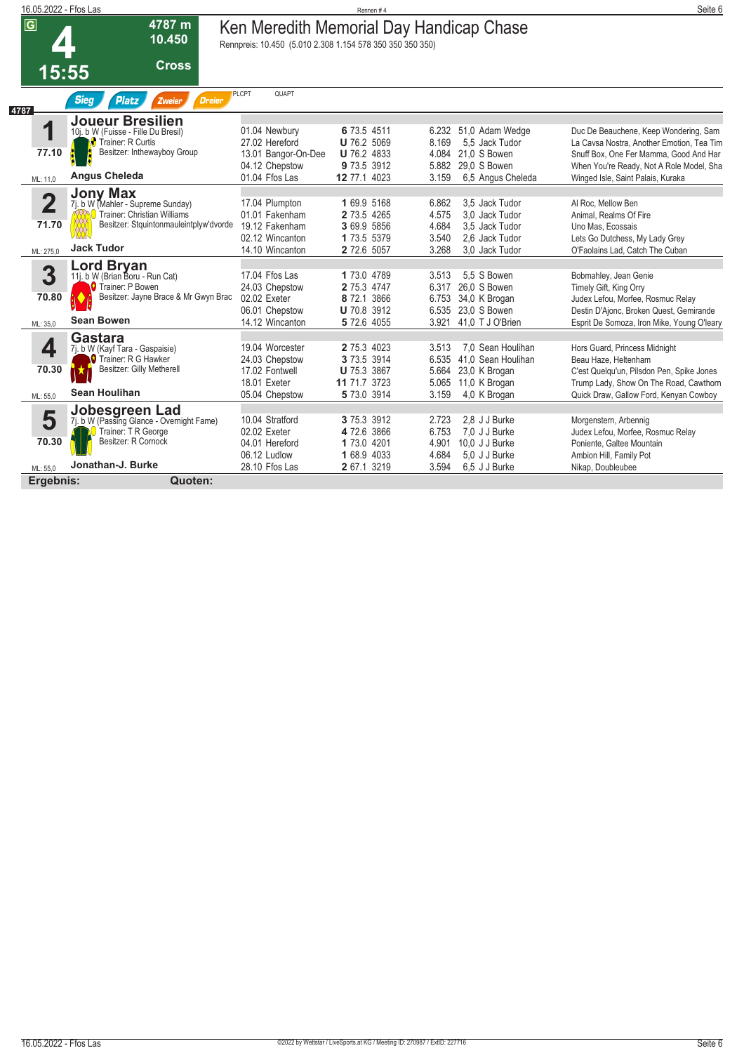|                                  |                                                                                                                                                     |                                                                                            | Rennen#4                                                                        |                                                                                                                                        | Seite 6                                                                                                                                                                                                       |
|----------------------------------|-----------------------------------------------------------------------------------------------------------------------------------------------------|--------------------------------------------------------------------------------------------|---------------------------------------------------------------------------------|----------------------------------------------------------------------------------------------------------------------------------------|---------------------------------------------------------------------------------------------------------------------------------------------------------------------------------------------------------------|
| $\overline{G}$                   | 4787 m<br>10.450                                                                                                                                    |                                                                                            |                                                                                 |                                                                                                                                        |                                                                                                                                                                                                               |
|                                  | <b>Cross</b>                                                                                                                                        |                                                                                            |                                                                                 |                                                                                                                                        |                                                                                                                                                                                                               |
|                                  | <b>Sieg</b><br><b>Platz</b><br><b>Dreier</b><br>Zweier                                                                                              | QUAPT                                                                                      |                                                                                 |                                                                                                                                        |                                                                                                                                                                                                               |
| 1<br>77.10<br>ML: 11,0           | <b>Joueur Bresilien</b><br>10j. b W (Fuisse - Fille Du Bresil)<br><b>C</b> Trainer: R Curtis<br>Besitzer: Inthewayboy Group<br><b>Angus Cheleda</b> | 01.04 Newbury<br>27.02 Hereford<br>13.01 Bangor-On-Dee<br>04.12 Chepstow<br>01.04 Ffos Las | 6 73.5 4511<br>U 76.2 5069<br><b>U</b> 76.2 4833<br>9 73.5 3912<br>12 77.1 4023 | 51,0 Adam Wedge<br>6.232<br>8.169<br>5,5 Jack Tudor<br>21,0 S Bowen<br>4.084<br>5.882<br>29.0 S Bowen<br>6.5 Angus Cheleda<br>3.159    | Duc De Beauchene, Keep Wondering, Sam<br>La Cavsa Nostra, Another Emotion, Tea Tim<br>Snuff Box, One Fer Mamma, Good And Har<br>When You're Ready, Not A Role Model, Sha<br>Winged Isle, Saint Palais, Kuraka |
| $\overline{\mathbf{2}}$<br>71.70 | <b>Jony Max</b><br>7j. b W (Mahler - Supreme Sunday)<br>Trainer: Christian Williams<br>Besitzer: Stquintonmauleintplyw'dvorde<br><b>Jack Tudor</b>  | 17.04 Plumpton<br>01.01 Fakenham<br>19.12 Fakenham<br>02.12 Wincanton<br>14.10 Wincanton   | 1 69.9 5168<br>2 73.5 4265<br>3 69.9 5856<br>1 73.5 5379                        | 3.5 Jack Tudor<br>6.862<br>4.575<br>3.0 Jack Tudor<br>4.684<br>3.5 Jack Tudor<br>3.540<br>2.6 Jack Tudor<br>3.268                      | Al Roc, Mellow Ben<br>Animal, Realms Of Fire<br>Uno Mas. Ecossais<br>Lets Go Dutchess, My Lady Grey<br>O'Faolains Lad, Catch The Cuban                                                                        |
| 3<br>70.80<br>ML: 35.0           | <b>Lord Bryan</b><br>11. b W (Brian Boru - Run Cat)<br><b>O</b> Trainer: P Bowen<br>Besitzer: Jayne Brace & Mr Gwyn Brac<br>K<br><b>Sean Bowen</b>  | 17.04 Ffos Las<br>24.03 Chepstow<br>02.02 Exeter<br>06.01 Chepstow<br>14.12 Wincanton      | 1 73.0 4789<br>2 75.3 4747<br>8 72.1 3866<br><b>U</b> 70.8 3912<br>5 72.6 4055  | 5.5 S Bowen<br>3.513<br>26.0 S Bowen<br>6.317<br>6.753 34,0 K Brogan<br>23.0 S Bowen<br>6.535<br>41.0 T J O'Brien<br>3.921             | Bobmahley, Jean Genie<br>Timely Gift, King Orry<br>Judex Lefou, Morfee, Rosmuc Relay<br>Destin D'Ajonc, Broken Quest, Gemirande<br>Esprit De Somoza, Iron Mike, Young O'leary                                 |
| 4<br>70.30<br>ML: 55,0           | Gastara<br>7j. b W (Kayf Tara - Gaspaisie)<br>◘ Trainer: R G Hawker<br>Besitzer: Gilly Metherell<br>IX<br>Sean Houlihan                             | 19.04 Worcester<br>24.03 Chepstow<br>17.02 Fontwell<br>18.01 Exeter<br>05.04 Chepstow      | 2 75.3 4023<br>3 73.5 3914<br><b>U</b> 75.3 3867<br>11 71.7 3723<br>5 73.0 3914 | 3.513<br>7.0 Sean Houlihan<br>41.0 Sean Houlihan<br>6.535<br>5.664<br>23,0 K Brogan<br>5.065<br>11,0 K Brogan<br>3.159<br>4,0 K Brogan | Hors Guard, Princess Midnight<br>Beau Haze, Heltenham<br>C'est Quelqu'un, Pilsdon Pen, Spike Jones<br>Trump Lady, Show On The Road, Cawthorn<br>Quick Draw, Gallow Ford, Kenyan Cowboy                        |
| 5<br>70.30<br>ML: 55.0           | Jobesgreen Lad<br>7j. b W (Passing Glance - Overnight Fame)<br>Trainer: T R George<br>Besitzer: R Cornock<br>Jonathan-J. Burke                      | 10.04 Stratford<br>02.02 Exeter<br>04.01 Hereford<br>06.12 Ludlow<br>28.10 Ffos Las        | 3 75.3 3912<br>4 72.6 3866<br>1 73.0 4201<br>1 68.9 4033<br>2 67.1 3219         | 2.8 J J Burke<br>2.723<br>6.753<br>7.0 J J Burke<br>4.901<br>10.0 J J Burke<br>5.0 J J Burke<br>4.684<br>3.594<br>6,5 J J Burke        | Morgenstern, Arbennig<br>Judex Lefou, Morfee, Rosmuc Relay<br>Poniente, Galtee Mountain<br>Ambion Hill, Family Pot<br>Nikap, Doubleubee                                                                       |
|                                  | 4787<br>ML: 275,0                                                                                                                                   | 16.05.2022 - Ffos Las<br>15:55<br>Ergebnis:<br>Quoten:                                     | <b>PLCPT</b>                                                                    | 2 72.6 5057                                                                                                                            | Ken Meredith Memorial Day Handicap Chase<br>Rennpreis: 10.450 (5.010 2.308 1.154 578 350 350 350 350)<br>3.0 Jack Tudor                                                                                       |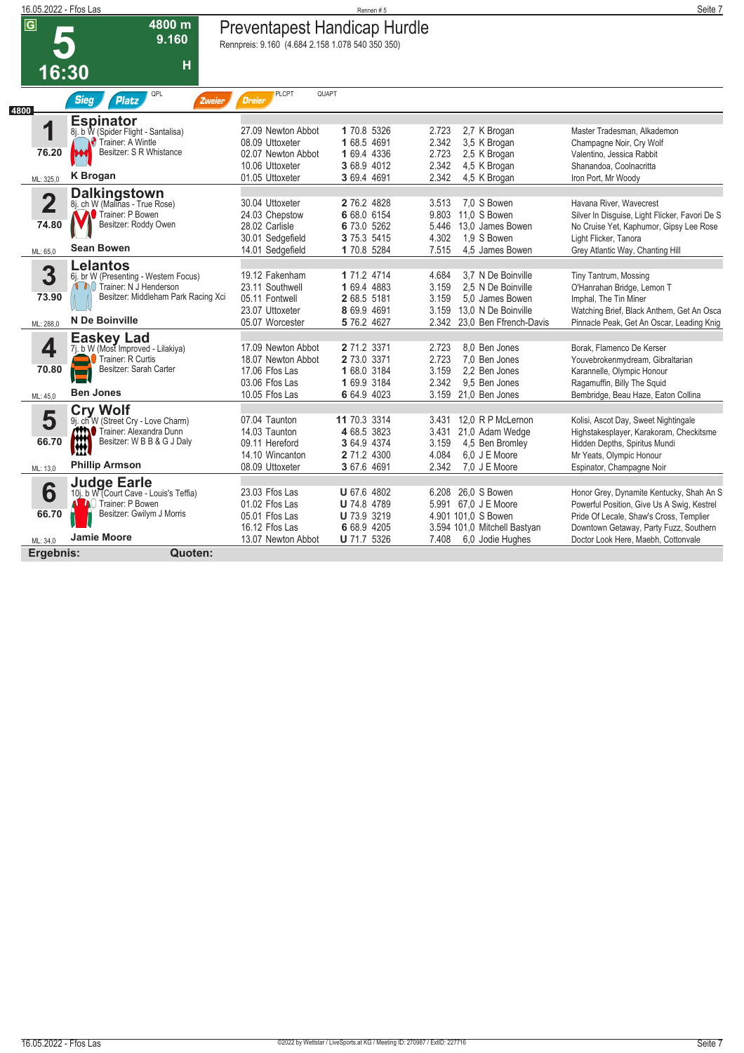| 16.05.2022 - Ffos Las   |                                                                                   |                                                  | Rennen#5                   |                                                    | Seite 7                                                       |
|-------------------------|-----------------------------------------------------------------------------------|--------------------------------------------------|----------------------------|----------------------------------------------------|---------------------------------------------------------------|
| $\overline{\mathsf{G}}$ | 4800 m                                                                            | <b>Preventapest Handicap Hurdle</b>              |                            |                                                    |                                                               |
|                         | 9.160                                                                             | Rennpreis: 9.160 (4.684 2.158 1.078 540 350 350) |                            |                                                    |                                                               |
|                         | Н                                                                                 |                                                  |                            |                                                    |                                                               |
| 16:30                   |                                                                                   |                                                  |                            |                                                    |                                                               |
|                         | QPL<br><b>Sieg</b><br><b>Platz</b><br>Zweier                                      | QUAPT<br><b>PLCPT</b><br><b>Dreier</b>           |                            |                                                    |                                                               |
| 4800                    | <b>Espinator</b>                                                                  |                                                  |                            |                                                    |                                                               |
| 1                       | 8j. b W (Spider Flight - Santalisa)                                               | 27.09 Newton Abbot                               | 1 70.8 5326                | 2.723<br>2,7 K Brogan                              | Master Tradesman, Alkademon                                   |
| 76.20                   | Trainer: A Wintle<br>Besitzer: S R Whistance                                      | 08.09 Uttoxeter                                  | 1 68.5 4691                | 2.342<br>3,5 K Brogan                              | Champagne Noir, Cry Wolf                                      |
|                         |                                                                                   | 02.07 Newton Abbot<br>10.06 Uttoxeter            | 1 69.4 4336<br>3 68.9 4012 | 2.723<br>2,5 K Brogan<br>2.342<br>4,5 K Brogan     | Valentino, Jessica Rabbit<br>Shanandoa, Coolnacritta          |
| ML: 325,0               | <b>K</b> Brogan                                                                   | 01.05 Uttoxeter                                  | 3 69.4 4691                | 2.342<br>4,5 K Brogan                              | Iron Port, Mr Woody                                           |
|                         | <b>Dalkingstown</b>                                                               |                                                  |                            |                                                    |                                                               |
| $\overline{\mathbf{2}}$ | 8. ch W (Malinas - True Rose)                                                     | 30.04 Uttoxeter                                  | 2 76.2 4828                | 7.0 S Bowen<br>3.513                               | Havana River, Wavecrest                                       |
|                         | Trainer: P Bowen<br>Besitzer: Roddy Owen                                          | 24.03 Chepstow                                   | 6 68.0 6154                | 11.0 S Bowen<br>9.803                              | Silver In Disguise, Light Flicker, Favori De S                |
| 74.80                   |                                                                                   | 28.02 Carlisle                                   | 6 73.0 5262<br>3 75.3 5415 | 13.0 James Bowen<br>5.446<br>4.302<br>1,9 S Bowen  | No Cruise Yet, Kaphumor, Gipsy Lee Rose                       |
| ML: 65,0                | <b>Sean Bowen</b>                                                                 | 30.01 Sedgefield<br>14.01 Sedgefield             | 1 70.8 5284                | 7.515<br>4,5 James Bowen                           | Light Flicker, Tanora<br>Grey Atlantic Way, Chanting Hill     |
|                         |                                                                                   |                                                  |                            |                                                    |                                                               |
| 3                       | Lelantos<br>6j. br W (Presenting - Western Focus)                                 | 19.12 Fakenham                                   | 1 71.2 4714                | 4.684<br>3.7 N De Boinville                        | Tiny Tantrum, Mossing                                         |
|                         | Trainer: N J Henderson                                                            | 23.11 Southwell                                  | 1 69.4 4883                | 3.159<br>2.5 N De Boinville                        | O'Hanrahan Bridge, Lemon T                                    |
| 73.90                   | Besitzer: Middleham Park Racing Xci                                               | 05.11 Fontwell                                   | 2 68.5 5181                | 3.159<br>5.0 James Bowen                           | Imphal, The Tin Miner                                         |
|                         |                                                                                   | 23.07 Uttoxeter                                  | 8 69.9 4691                | 3.159<br>13.0 N De Boinville                       | Watching Brief, Black Anthem, Get An Osca                     |
| ML: 288,0               | N De Boinville                                                                    | 05.07 Worcester                                  | 5 76.2 4627                | 2.342 23.0 Ben Ffrench-Davis                       | Pinnacle Peak, Get An Oscar, Leading Knig                     |
|                         | <b>Easkey Lad</b>                                                                 |                                                  | 2 71.2 3371                | 2.723                                              |                                                               |
| 4                       | 7j. b W (Most Improved - Lilakiya)<br>Trainer: R Curtis                           | 17.09 Newton Abbot<br>18.07 Newton Abbot         | 2 73.0 3371                | 8.0 Ben Jones<br>2.723<br>7.0 Ben Jones            | Borak, Flamenco De Kerser<br>Youvebrokenmydream, Gibraltarian |
| 70.80                   | Besitzer: Sarah Carter<br>$\overline{\phantom{0}}$                                | 17.06 Ffos Las                                   | 1 68.0 3184                | 3.159<br>2,2 Ben Jones                             | Karannelle, Olympic Honour                                    |
|                         |                                                                                   | 03.06 Ffos Las                                   | 1 69.9 3184                | 2.342<br>9.5 Ben Jones                             | Ragamuffin, Billy The Squid                                   |
| ML: 45,0                | <b>Ben Jones</b>                                                                  | 10.05 Ffos Las                                   | 6 64.9 4023                | 3.159<br>21,0 Ben Jones                            | Bembridge, Beau Haze, Eaton Collina                           |
|                         | <b>Cry Wolf</b>                                                                   |                                                  |                            |                                                    |                                                               |
| 5                       | 9j. ch W (Street Cry - Love Charm)                                                | 07.04 Taunton                                    | 11 70.3 3314               | 3.431 12,0 R P McLernon                            | Kolisi, Ascot Day, Sweet Nightingale                          |
| 66.70                   | Trainer: Alexandra Dunn<br>Besitzer: W B B & G J Da<br>Besitzer: W B B & G J Daly | 14.03 Taunton                                    | 4 68.5 3823                | 3.431<br>21,0 Adam Wedge                           | Highstakesplayer, Karakoram, Checkitsme                       |
|                         |                                                                                   | 09.11 Hereford<br>14.10 Wincanton                | 3 64.9 4374<br>2 71.2 4300 | 3.159<br>4,5 Ben Bromley<br>4.084<br>6.0 J E Moore | Hidden Depths, Spiritus Mundi                                 |
| ML: 13,0                | <b>Phillip Armson</b>                                                             | 08.09 Uttoxeter                                  | 3 67.6 4691                | 7,0 J E Moore<br>2.342                             | Mr Yeats, Olympic Honour<br>Espinator, Champagne Noir         |
|                         |                                                                                   |                                                  |                            |                                                    |                                                               |
| 6                       | Judge Earle<br>10j. b W (Court Cave - Louis's Teffia)                             | 23.03 Ffos Las                                   | <b>U</b> 67.6 4802         | 6.208 26.0 S Bowen                                 | Honor Grey, Dynamite Kentucky, Shah An S                      |
|                         | <b>ALA</b> Trainer: P Bowen                                                       | 01.02 Ffos Las                                   | <b>U</b> 74.8 4789         | 5.991 67.0 J E Moore                               | Powerful Position, Give Us A Swig, Kestrel                    |
| 66.70                   | Besitzer: Gwilym J Morris                                                         | 05.01 Ffos Las                                   | <b>U</b> 73.9 3219         | 4.901 101,0 S Bowen                                | Pride Of Lecale, Shaw's Cross, Templier                       |
|                         | <b>Jamie Moore</b>                                                                | 16.12 Ffos Las                                   | 6 68.9 4205                | 3.594 101,0 Mitchell Bastyan                       | Downtown Getaway, Party Fuzz, Southern                        |
| ML: 34,0                |                                                                                   | 13.07 Newton Abbot                               | <b>U</b> 71.7 5326         | 7.408<br>6.0 Jodie Hughes                          | Doctor Look Here, Maebh, Cottonvale                           |
| Ergebnis:               | Quoten:                                                                           |                                                  |                            |                                                    |                                                               |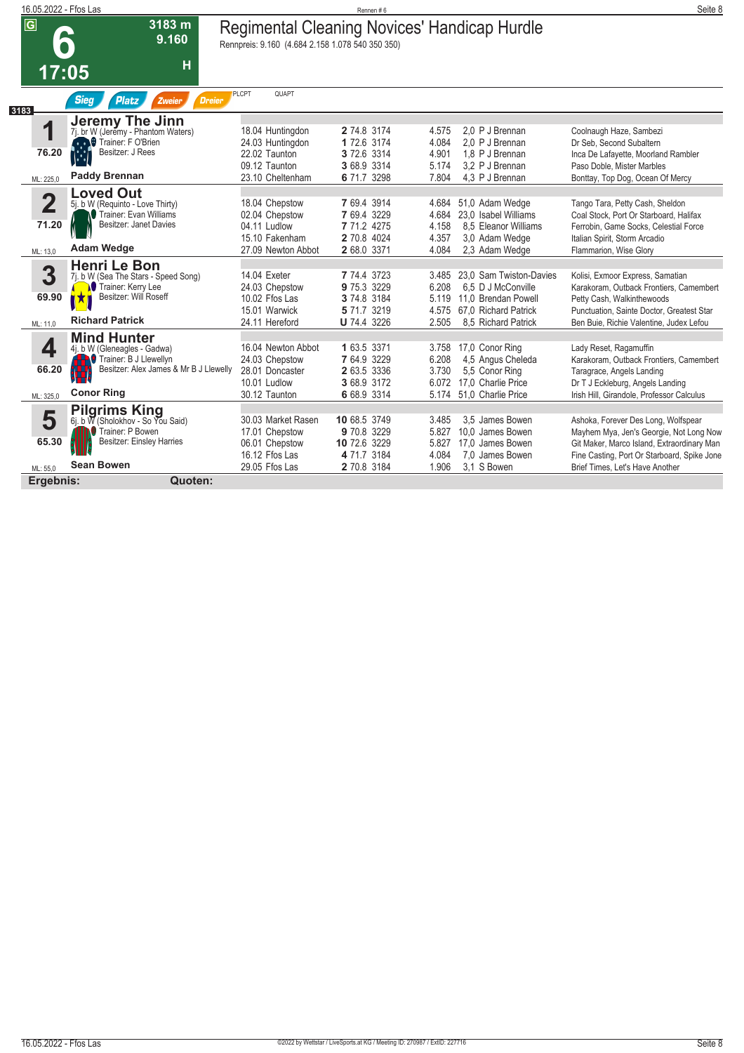| 16.05.2022 - Ffos Las                        |                                                                                                                                             |                                                                                                  | Rennen#6                                                                       |                                           |                                                                                                                     | Seite 8                                                                                                                                                                                           |
|----------------------------------------------|---------------------------------------------------------------------------------------------------------------------------------------------|--------------------------------------------------------------------------------------------------|--------------------------------------------------------------------------------|-------------------------------------------|---------------------------------------------------------------------------------------------------------------------|---------------------------------------------------------------------------------------------------------------------------------------------------------------------------------------------------|
| $\overline{G}$                               | 3183 m<br>9.160<br>$\bullet$                                                                                                                | Regimental Cleaning Novices' Handicap Hurdle<br>Rennpreis: 9.160 (4.684 2.158 1.078 540 350 350) |                                                                                |                                           |                                                                                                                     |                                                                                                                                                                                                   |
| 17:05                                        | Н                                                                                                                                           |                                                                                                  |                                                                                |                                           |                                                                                                                     |                                                                                                                                                                                                   |
| 3183                                         | <b>Sieg</b><br><b>Platz</b><br><b>Dreier</b><br>Zweier                                                                                      | <b>PLCPT</b><br>QUAPT                                                                            |                                                                                |                                           |                                                                                                                     |                                                                                                                                                                                                   |
| 1<br>76.20<br>ML: 225.0                      | <b>Jeremy The Jinn</b><br>7j. br W (Jeremy - Phantom Waters)<br>Trainer: F O'Brien<br>Besitzer: J Rees<br><b>Paddy Brennan</b>              | 18.04 Huntingdon<br>24.03 Huntingdon<br>22.02 Taunton<br>09.12 Taunton<br>23.10 Cheltenham       | 2 74.8 3174<br>1 72.6 3174<br>3 72.6 3314<br>3 68.9 3314<br>6 71.7 3298        | 4.575<br>4.084<br>4.901<br>5.174<br>7.804 | 2.0 P J Brennan<br>2.0 P J Brennan<br>1,8 P J Brennan<br>3.2 P J Brennan<br>4.3 P J Brennan                         | Coolnaugh Haze, Sambezi<br>Dr Seb, Second Subaltern<br>Inca De Lafayette, Moorland Rambler<br>Paso Doble, Mister Marbles<br>Bonttay, Top Dog, Ocean Of Mercy                                      |
| $\overline{\mathbf{2}}$<br>71.20<br>ML: 13,0 | <b>Loved Out</b><br>5j. b W (Requinto - Love Thirty)<br>Trainer: Evan Williams<br>Besitzer: Janet Davies<br><b>Adam Wedge</b>               | 18.04 Chepstow<br>02.04 Chepstow<br>04.11 Ludlow<br>15.10 Fakenham<br>27.09 Newton Abbot         | 7 69.4 3914<br>7 69.4 3229<br>7 71.2 4275<br>2 70.8 4024<br>2 68.0 3371        | 4.684<br>4.684<br>4.158<br>4.357<br>4.084 | 51,0 Adam Wedge<br>23.0 Isabel Williams<br>8.5 Eleanor Williams<br>3.0 Adam Wedge<br>2,3 Adam Wedge                 | Tango Tara, Petty Cash, Sheldon<br>Coal Stock, Port Or Starboard, Halifax<br>Ferrobin, Game Socks, Celestial Force<br>Italian Spirit, Storm Arcadio<br>Flammarion, Wise Glory                     |
| 3<br>69.90<br>ML: 11.0                       | Henri Le Bon<br>7j. b W (Sea The Stars - Speed Song)<br>Trainer: Kerry Lee<br>Besitzer: Will Roseff<br>IX)<br><b>Richard Patrick</b>        | 14.04 Exeter<br>24.03 Chepstow<br>10.02 Ffos Las<br>15.01 Warwick<br>24.11 Hereford              | 7 74.4 3723<br>9 75.3 3229<br>3 74.8 3184<br>5 71.7 3219<br><b>U</b> 74.4 3226 | 3.485<br>6.208<br>5.119<br>4.575<br>2.505 | 23.0 Sam Twiston-Davies<br>6.5 D J McConville<br>11.0 Brendan Powell<br>67.0 Richard Patrick<br>8.5 Richard Patrick | Kolisi, Exmoor Express, Samatian<br>Karakoram, Outback Frontiers, Camembert<br>Petty Cash, Walkinthewoods<br>Punctuation, Sainte Doctor, Greatest Star<br>Ben Buie, Richie Valentine, Judex Lefou |
| 4<br>66.20<br>ML: 325,0                      | <b>Mind Hunter</b><br>4j. b W (Gleneagles - Gadwa)<br>Trainer: B J Llewellyn<br>Besitzer: Alex James & Mr B J Llewelly<br><b>Conor Ring</b> | 16.04 Newton Abbot<br>24.03 Chepstow<br>28.01 Doncaster<br>10.01 Ludlow<br>30.12 Taunton         | 1 63.5 3371<br>7 64.9 3229<br>2 63.5 3336<br>3 68.9 3172<br>6 68.9 3314        | 3.758<br>6.208<br>3.730<br>6.072<br>5.174 | 17,0 Conor Ring<br>4,5 Angus Cheleda<br>5,5 Conor Ring<br>17.0 Charlie Price<br>51.0 Charlie Price                  | Lady Reset, Ragamuffin<br>Karakoram, Outback Frontiers, Camembert<br>Taragrace, Angels Landing<br>Dr T J Eckleburg, Angels Landing<br>Irish Hill. Girandole. Professor Calculus                   |
| 5<br>65.30                                   | <b>Pilgrims King</b><br>6j. b W (Sholokhov - So You Said)<br>Trainer: P Bowen<br><b>Besitzer: Einsley Harries</b><br><b>Sean Bowen</b>      | 30.03 Market Rasen<br>17.01 Chepstow<br>06.01 Chepstow<br>16.12 Ffos Las                         | 10 68.5 3749<br>9 70.8 3229<br>10 72.6 3229<br>4 71.7 3184                     | 3.485<br>5.827<br>5.827<br>4.084          | 3.5 James Bowen<br>10,0 James Bowen<br>17.0 James Bowen<br>7.0 James Bowen                                          | Ashoka, Forever Des Long, Wolfspear<br>Mayhem Mya, Jen's Georgie, Not Long Now<br>Git Maker, Marco Island, Extraordinary Man<br>Fine Casting, Port Or Starboard, Spike Jone                       |
| ML: 55.0<br>Ergebnis:                        | Quoten:                                                                                                                                     | 29.05 Ffos Las                                                                                   | 2 70.8 3184                                                                    | 1.906                                     | 3.1 S Bowen                                                                                                         | Brief Times, Let's Have Another                                                                                                                                                                   |